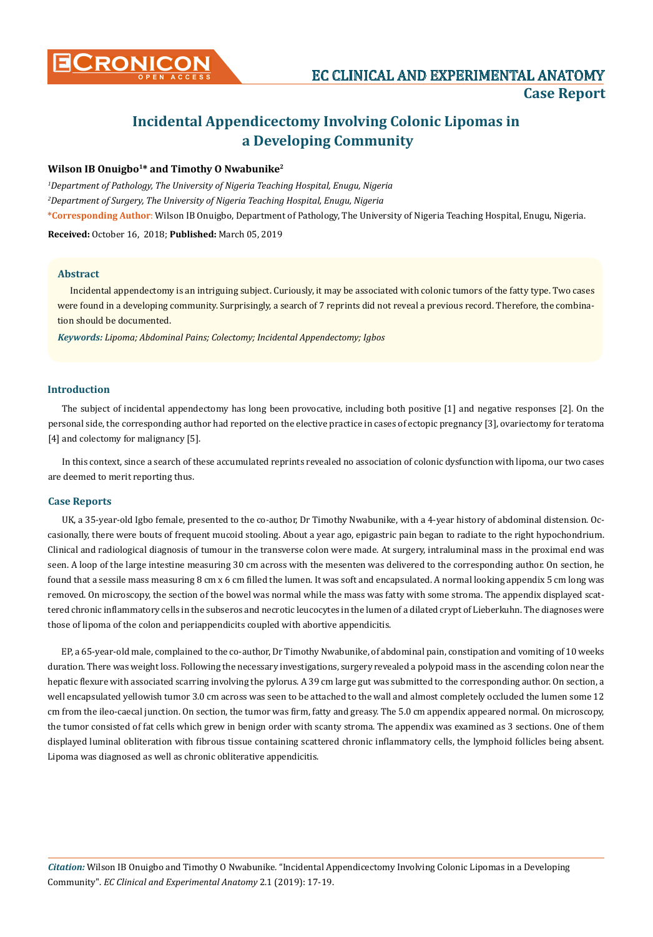

# **Incidental Appendicectomy Involving Colonic Lipomas in a Developing Community**

## **Wilson IB Onuigbo1\* and Timothy O Nwabunike2**

*1 Department of Pathology, The University of Nigeria Teaching Hospital, Enugu, Nigeria 2 Department of Surgery, The University of Nigeria Teaching Hospital, Enugu, Nigeria*  **\*Corresponding Author**: Wilson IB Onuigbo, Department of Pathology, The University of Nigeria Teaching Hospital, Enugu, Nigeria. **Received:** October 16, 2018; **Published:** March 05, 2019

#### **Abstract**

Incidental appendectomy is an intriguing subject. Curiously, it may be associated with colonic tumors of the fatty type. Two cases were found in a developing community. Surprisingly, a search of 7 reprints did not reveal a previous record. Therefore, the combination should be documented.

*Keywords: Lipoma; Abdominal Pains; Colectomy; Incidental Appendectomy; Igbos*

## **Introduction**

The subject of incidental appendectomy has long been provocative, including both positive [1] and negative responses [2]. On the personal side, the corresponding author had reported on the elective practice in cases of ectopic pregnancy [3], ovariectomy for teratoma [4] and colectomy for malignancy [5].

In this context, since a search of these accumulated reprints revealed no association of colonic dysfunction with lipoma, our two cases are deemed to merit reporting thus.

#### **Case Reports**

UK, a 35-year-old Igbo female, presented to the co-author, Dr Timothy Nwabunike, with a 4-year history of abdominal distension. Occasionally, there were bouts of frequent mucoid stooling. About a year ago, epigastric pain began to radiate to the right hypochondrium. Clinical and radiological diagnosis of tumour in the transverse colon were made. At surgery, intraluminal mass in the proximal end was seen. A loop of the large intestine measuring 30 cm across with the mesenten was delivered to the corresponding author. On section, he found that a sessile mass measuring 8 cm x 6 cm filled the lumen. It was soft and encapsulated. A normal looking appendix 5 cm long was removed. On microscopy, the section of the bowel was normal while the mass was fatty with some stroma. The appendix displayed scattered chronic inflammatory cells in the subseros and necrotic leucocytes in the lumen of a dilated crypt of Lieberkuhn. The diagnoses were those of lipoma of the colon and periappendicits coupled with abortive appendicitis.

EP, a 65-year-old male, complained to the co-author, Dr Timothy Nwabunike, of abdominal pain, constipation and vomiting of 10 weeks duration. There was weight loss. Following the necessary investigations, surgery revealed a polypoid mass in the ascending colon near the hepatic flexure with associated scarring involving the pylorus. A 39 cm large gut was submitted to the corresponding author. On section, a well encapsulated yellowish tumor 3.0 cm across was seen to be attached to the wall and almost completely occluded the lumen some 12 cm from the ileo-caecal junction. On section, the tumor was firm, fatty and greasy. The 5.0 cm appendix appeared normal. On microscopy, the tumor consisted of fat cells which grew in benign order with scanty stroma. The appendix was examined as 3 sections. One of them displayed luminal obliteration with fibrous tissue containing scattered chronic inflammatory cells, the lymphoid follicles being absent. Lipoma was diagnosed as well as chronic obliterative appendicitis.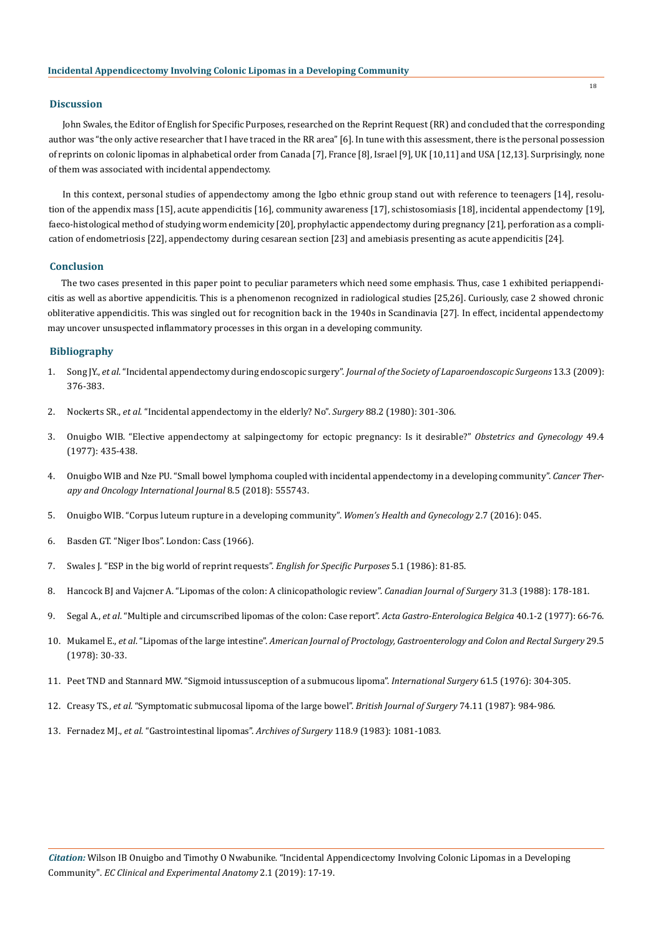## **Discussion**

18

John Swales, the Editor of English for Specific Purposes, researched on the Reprint Request (RR) and concluded that the corresponding author was "the only active researcher that I have traced in the RR area" [6]. In tune with this assessment, there is the personal possession of reprints on colonic lipomas in alphabetical order from Canada [7], France [8], Israel [9], UK [10,11] and USA [12,13]. Surprisingly, none of them was associated with incidental appendectomy.

In this context, personal studies of appendectomy among the Igbo ethnic group stand out with reference to teenagers [14], resolution of the appendix mass [15], acute appendicitis [16], community awareness [17], schistosomiasis [18], incidental appendectomy [19], faeco-histological method of studying worm endemicity [20], prophylactic appendectomy during pregnancy [21], perforation as a complication of endometriosis [22], appendectomy during cesarean section [23] and amebiasis presenting as acute appendicitis [24].

#### **Conclusion**

The two cases presented in this paper point to peculiar parameters which need some emphasis. Thus, case 1 exhibited periappendicitis as well as abortive appendicitis. This is a phenomenon recognized in radiological studies [25,26]. Curiously, case 2 showed chronic obliterative appendicitis. This was singled out for recognition back in the 1940s in Scandinavia [27]. In effect, incidental appendectomy may uncover unsuspected inflammatory processes in this organ in a developing community.

#### **Bibliography**

- 1. Song JY., *et al*. "Incidental appendectomy during endoscopic surgery". *[Journal of the Society of Laparoendoscopic Surgeons](https://www.ncbi.nlm.nih.gov/pmc/articles/PMC3015983/)* 13.3 (2009): [376-383.](https://www.ncbi.nlm.nih.gov/pmc/articles/PMC3015983/)
- 2. Nockerts SR., *et al*[. "Incidental appendectomy in the elderly? No".](https://www.ncbi.nlm.nih.gov/pubmed/7394710) *Surgery* 88.2 (1980): 301-306.
- 3. [Onuigbo WIB. "Elective appendectomy at salpingectomy for ectopic pregnancy: Is it desirable?"](https://www.ncbi.nlm.nih.gov/pubmed/854245) *Obstetrics and Gynecology* 49.4 [\(1977\): 435-438.](https://www.ncbi.nlm.nih.gov/pubmed/854245)
- 4. [Onuigbo WIB and Nze PU. "Small bowel lymphoma coupled with incidental appendectomy in a developing community".](https://juniperpublishers.com/ctoij/pdf/CTOIJ.MS.ID.555743.pdf) *Cancer Ther[apy and Oncology International Journal](https://juniperpublishers.com/ctoij/pdf/CTOIJ.MS.ID.555743.pdf)* 8.5 (2018): 555743.
- 5. [Onuigbo WIB. "Corpus luteum rupture in a developing community".](https://scientonline.org/open-access/corpus-luteum-rupture-in-a-developing-community.pdf) *Women's Health and Gynecology* 2.7 (2016): 045.
- 6. Basden GT. "Niger Ibos". London: Cass (1966).
- 7. [Swales J. "ESP in the big world of reprint requests".](https://www.sciencedirect.com/science/article/pii/0889490686900098) *English for Specific Purposes* 5.1 (1986): 81-85.
- 8. [Hancock BJ and Vajcner A. "Lipomas of the colon: A clinicopathologic review".](https://www.ncbi.nlm.nih.gov/pubmed/3284624) *Canadian Journal of Surgery* 31.3 (1988): 178-181.
- 9. Segal A., *et al*[. "Multiple and circumscribed lipomas of the colon: Case report".](https://www.ncbi.nlm.nih.gov/pubmed/899610) *Acta Gastro-Enterologica Belgica* 40.1-2 (1977): 66-76.
- 10. Mukamel E., *et al*. "Lipomas of the large intestine". *[American Journal of Proctology, Gastroenterology and Colon and Rectal Surgery](https://www.ncbi.nlm.nih.gov/pubmed/757748)* 29.5 [\(1978\): 30-33.](https://www.ncbi.nlm.nih.gov/pubmed/757748)
- 11. Peet TND and Stannard MW. "Sigmoid intussusception of a submucous lipoma". *International Surgery* 61.5 (1976): 304-305.
- 12. Creasy TS., *et al*[. "Symptomatic submucosal lipoma of the large bowel".](https://www.ncbi.nlm.nih.gov/pubmed/3319030) *British Journal of Surgery* 74.11 (1987): 984-986.
- 13. Fernadez MJ., *et al*[. "Gastrointestinal lipomas".](https://www.ncbi.nlm.nih.gov/pubmed/6615219) *Archives of Surgery* 118.9 (1983): 1081-1083.